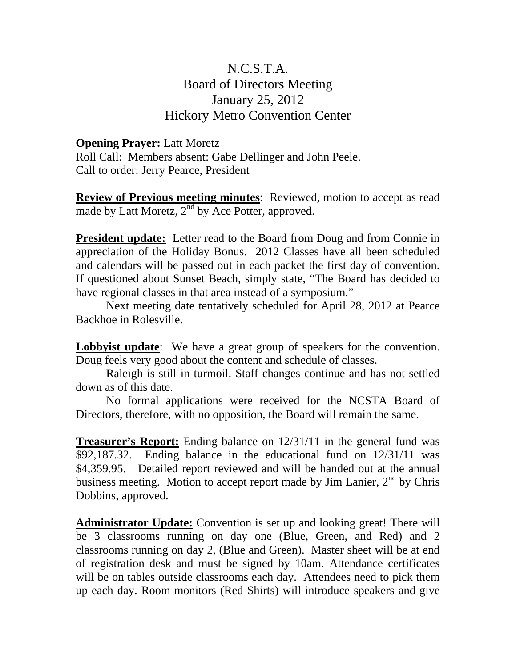## N.C.S.T.A. Board of Directors Meeting January 25, 2012 Hickory Metro Convention Center

## **Opening Prayer:** Latt Moretz

Roll Call: Members absent: Gabe Dellinger and John Peele. Call to order: Jerry Pearce, President

**Review of Previous meeting minutes**: Reviewed, motion to accept as read made by Latt Moretz, 2<sup>nd</sup> by Ace Potter, approved.

**President update:** Letter read to the Board from Doug and from Connie in appreciation of the Holiday Bonus. 2012 Classes have all been scheduled and calendars will be passed out in each packet the first day of convention. If questioned about Sunset Beach, simply state, "The Board has decided to have regional classes in that area instead of a symposium."

 Next meeting date tentatively scheduled for April 28, 2012 at Pearce Backhoe in Rolesville.

**Lobbyist update**: We have a great group of speakers for the convention. Doug feels very good about the content and schedule of classes.

 Raleigh is still in turmoil. Staff changes continue and has not settled down as of this date.

 No formal applications were received for the NCSTA Board of Directors, therefore, with no opposition, the Board will remain the same.

**Treasurer's Report:** Ending balance on 12/31/11 in the general fund was \$92,187.32. Ending balance in the educational fund on 12/31/11 was \$4,359.95. Detailed report reviewed and will be handed out at the annual business meeting. Motion to accept report made by Jim Lanier,  $2<sup>nd</sup>$  by Chris Dobbins, approved.

**Administrator Update:** Convention is set up and looking great! There will be 3 classrooms running on day one (Blue, Green, and Red) and 2 classrooms running on day 2, (Blue and Green). Master sheet will be at end of registration desk and must be signed by 10am. Attendance certificates will be on tables outside classrooms each day. Attendees need to pick them up each day. Room monitors (Red Shirts) will introduce speakers and give